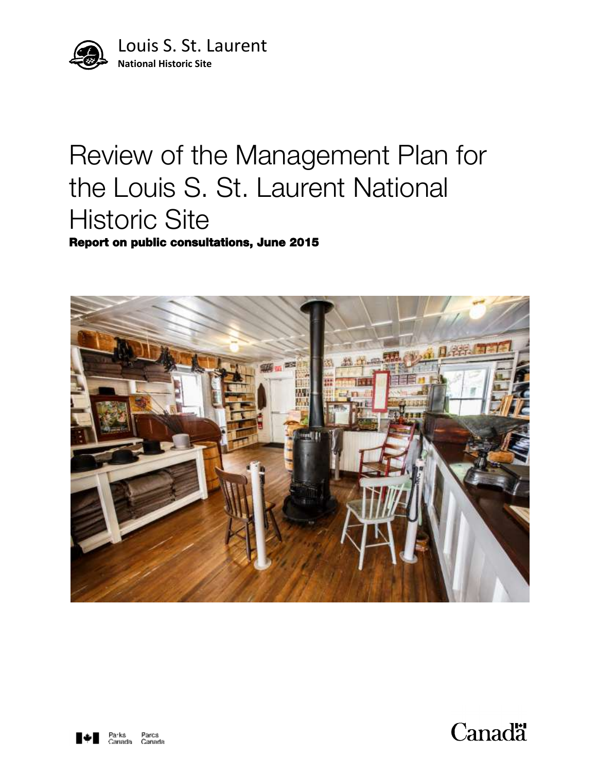

# Review of the Management Plan for the Louis S. St. Laurent National Historic Site

Report on public consultations, June 2015





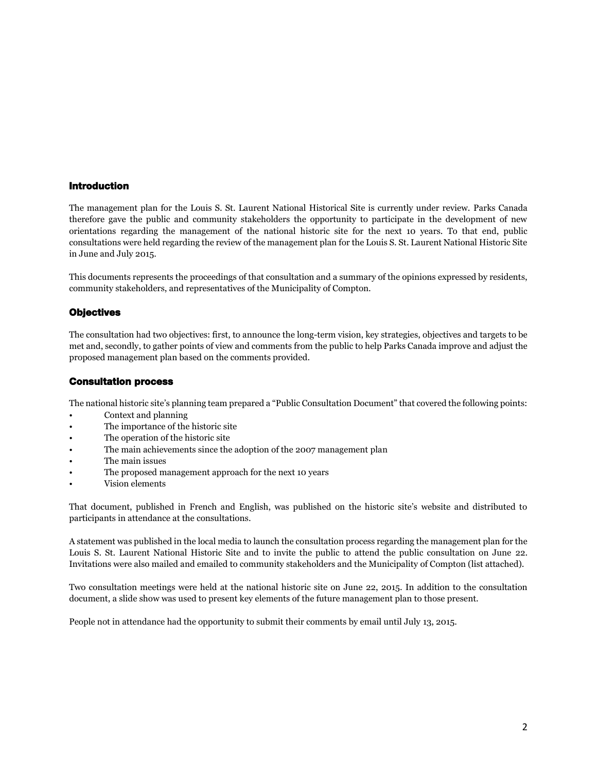## Introduction

The management plan for the Louis S. St. Laurent National Historical Site is currently under review. Parks Canada therefore gave the public and community stakeholders the opportunity to participate in the development of new orientations regarding the management of the national historic site for the next 10 years. To that end, public consultations were held regarding the review of the management plan for the Louis S. St. Laurent National Historic Site in June and July 2015.

This documents represents the proceedings of that consultation and a summary of the opinions expressed by residents, community stakeholders, and representatives of the Municipality of Compton.

## **Objectives**

The consultation had two objectives: first, to announce the long-term vision, key strategies, objectives and targets to be met and, secondly, to gather points of view and comments from the public to help Parks Canada improve and adjust the proposed management plan based on the comments provided.

#### Consultation process

The national historic site's planning team prepared a "Public Consultation Document" that covered the following points:

- Context and planning
- The importance of the historic site
- The operation of the historic site
- The main achievements since the adoption of the 2007 management plan
- The main issues
- The proposed management approach for the next 10 years
- Vision elements

That document, published in French and English, was published on the historic site's website and distributed to participants in attendance at the consultations.

A statement was published in the local media to launch the consultation process regarding the management plan for the Louis S. St. Laurent National Historic Site and to invite the public to attend the public consultation on June 22. Invitations were also mailed and emailed to community stakeholders and the Municipality of Compton (list attached).

Two consultation meetings were held at the national historic site on June 22, 2015. In addition to the consultation document, a slide show was used to present key elements of the future management plan to those present.

People not in attendance had the opportunity to submit their comments by email until July 13, 2015.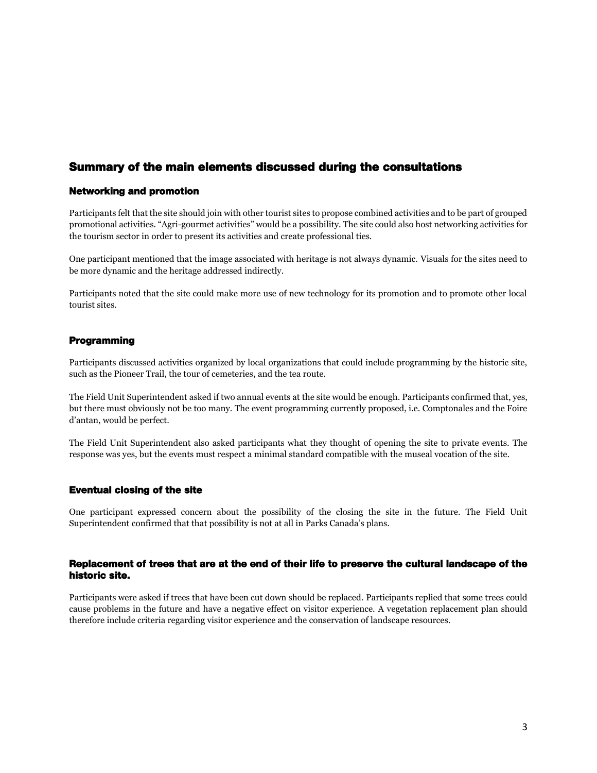# Summary of the main elements discussed during the consultations

## Networking and promotion

Participants felt that the site should join with other tourist sites to propose combined activities and to be part of grouped promotional activities. "Agri-gourmet activities" would be a possibility. The site could also host networking activities for the tourism sector in order to present its activities and create professional ties.

One participant mentioned that the image associated with heritage is not always dynamic. Visuals for the sites need to be more dynamic and the heritage addressed indirectly.

Participants noted that the site could make more use of new technology for its promotion and to promote other local tourist sites.

## Programming

Participants discussed activities organized by local organizations that could include programming by the historic site, such as the Pioneer Trail, the tour of cemeteries, and the tea route.

The Field Unit Superintendent asked if two annual events at the site would be enough. Participants confirmed that, yes, but there must obviously not be too many. The event programming currently proposed, i.e. Comptonales and the Foire d'antan, would be perfect.

The Field Unit Superintendent also asked participants what they thought of opening the site to private events. The response was yes, but the events must respect a minimal standard compatible with the museal vocation of the site.

#### Eventual closing of the site

One participant expressed concern about the possibility of the closing the site in the future. The Field Unit Superintendent confirmed that that possibility is not at all in Parks Canada's plans.

#### Replacement of trees that are at the end of their life to preserve the cultural landscape of the historic site.

Participants were asked if trees that have been cut down should be replaced. Participants replied that some trees could cause problems in the future and have a negative effect on visitor experience. A vegetation replacement plan should therefore include criteria regarding visitor experience and the conservation of landscape resources.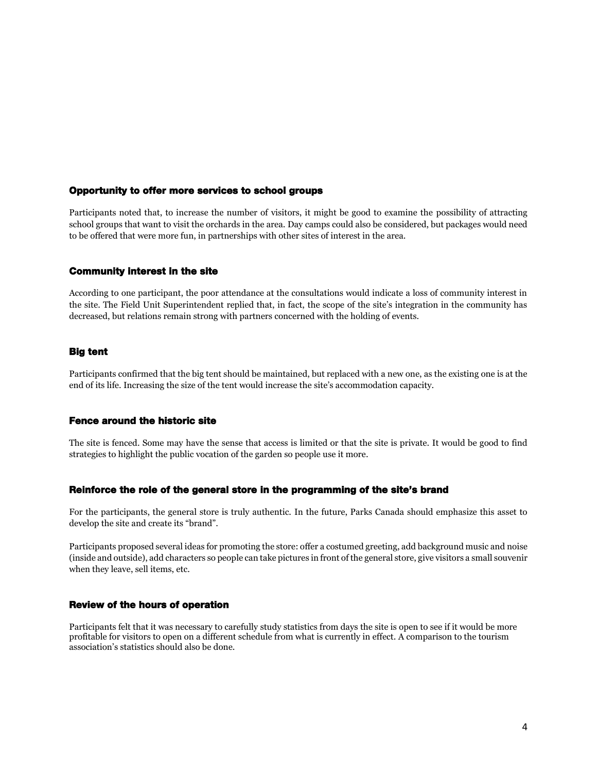#### Opportunity to offer more services to school groups

Participants noted that, to increase the number of visitors, it might be good to examine the possibility of attracting school groups that want to visit the orchards in the area. Day camps could also be considered, but packages would need to be offered that were more fun, in partnerships with other sites of interest in the area.

#### Community interest in the site

According to one participant, the poor attendance at the consultations would indicate a loss of community interest in the site. The Field Unit Superintendent replied that, in fact, the scope of the site's integration in the community has decreased, but relations remain strong with partners concerned with the holding of events.

#### Big tent

Participants confirmed that the big tent should be maintained, but replaced with a new one, as the existing one is at the end of its life. Increasing the size of the tent would increase the site's accommodation capacity.

#### Fence around the historic site

The site is fenced. Some may have the sense that access is limited or that the site is private. It would be good to find strategies to highlight the public vocation of the garden so people use it more.

#### Reinforce the role of the general store in the programming of the site's brand

For the participants, the general store is truly authentic. In the future, Parks Canada should emphasize this asset to develop the site and create its "brand".

Participants proposed several ideas for promoting the store: offer a costumed greeting, add background music and noise (inside and outside), add characters so people can take pictures in front of the general store, give visitors a small souvenir when they leave, sell items, etc.

#### Review of the hours of operation

Participants felt that it was necessary to carefully study statistics from days the site is open to see if it would be more profitable for visitors to open on a different schedule from what is currently in effect. A comparison to the tourism association's statistics should also be done.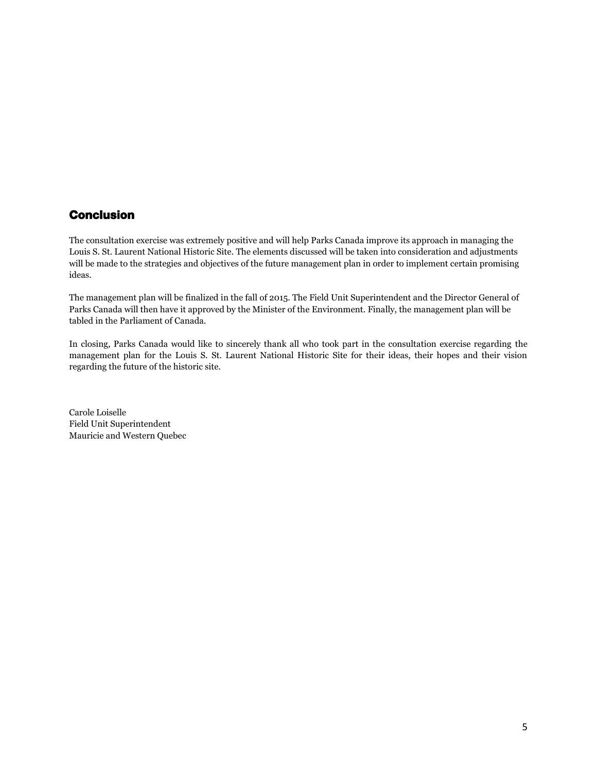# Conclusion

The consultation exercise was extremely positive and will help Parks Canada improve its approach in managing the Louis S. St. Laurent National Historic Site. The elements discussed will be taken into consideration and adjustments will be made to the strategies and objectives of the future management plan in order to implement certain promising ideas.

The management plan will be finalized in the fall of 2015. The Field Unit Superintendent and the Director General of Parks Canada will then have it approved by the Minister of the Environment. Finally, the management plan will be tabled in the Parliament of Canada.

In closing, Parks Canada would like to sincerely thank all who took part in the consultation exercise regarding the management plan for the Louis S. St. Laurent National Historic Site for their ideas, their hopes and their vision regarding the future of the historic site.

Carole Loiselle Field Unit Superintendent Mauricie and Western Quebec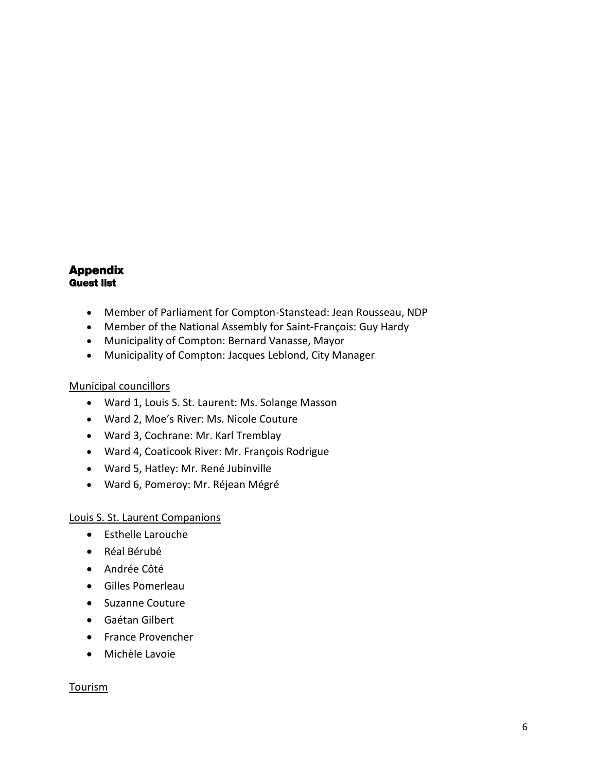# Appendix Guest list

- Member of Parliament for Compton-Stanstead: Jean Rousseau, NDP
- Member of the National Assembly for Saint-François: Guy Hardy
- Municipality of Compton: Bernard Vanasse, Mayor
- Municipality of Compton: Jacques Leblond, City Manager

# Municipal councillors

- Ward 1, Louis S. St. Laurent: Ms. Solange Masson
- Ward 2, Moe's River: Ms. Nicole Couture
- Ward 3, Cochrane: Mr. Karl Tremblay
- Ward 4, Coaticook River: Mr. François Rodrigue
- Ward 5, Hatley: Mr. René Jubinville
- Ward 6, Pomeroy: Mr. Réjean Mégré

# Louis S. St. Laurent Companions

- Esthelle Larouche
- Réal Bérubé
- Andrée Côté
- Gilles Pomerleau
- Suzanne Couture
- Gaétan Gilbert
- **•** France Provencher
- Michèle Lavoie

# **Tourism**